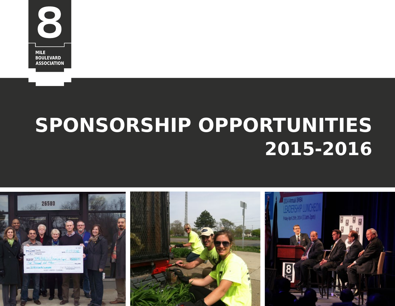

# **SPONSORSHIP OPPORTUNITIES 2015-2016**

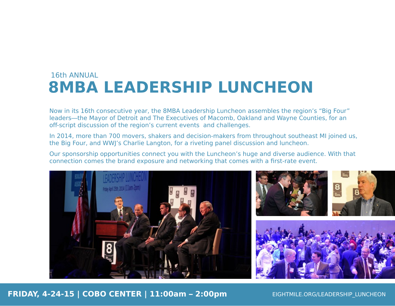## **8MBA LEADERSHIP LUNCHEON** 16th ANNUAL

Now in its 16th consecutive year, the 8MBA Leadership Luncheon assembles the region's "Big Four" leaders—the Mayor of Detroit and The Executives of Macomb, Oakland and Wayne Counties, for an off-script discussion of the region's current events and challenges.

In 2014, more than 700 movers, shakers and decision-makers from throughout southeast MI joined us, the Big Four, and WWJ's Charlie Langton, for a riveting panel discussion and luncheon.

Our sponsorship opportunities connect you with the Luncheon's huge and diverse audience. With that connection comes the brand exposure and networking that comes with a first-rate event.

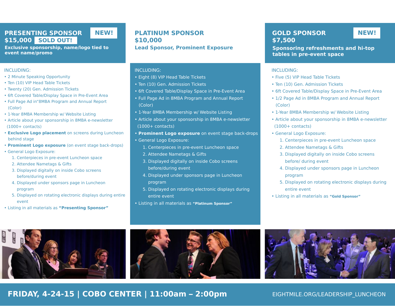#### **PRESENTING SPONSOR \$15,000 SOLD OUT!**

**Exclusive sponsorship, name/logo tied to event name/promo**

#### INCLUDING:

- 2 Minute Speaking Opportunity
- Ten (10) VIP Head Table Tickets
- Twenty (20) Gen. Admission Tickets
- 6ft Covered Table/Display Space in Pre-Event Area
- Full Page Ad in"8MBA Program and Annual Report (Color)
- 1-Year 8MBA Membership w/ Website Listing
- Article about your sponsorship in 8MBA e-newsletter (1000+ contacts)
- **Exclusive Logo placement** on screens during Luncheon behind stage
- **Prominent Logo exposure** (on event stage back-drops)
- General Logo Exposure:
	- 1. Centerpieces in pre-event Luncheon space
	- 2. Attendee Nametags & Gifts
	- 3. Displayed digitally on inside Cobo screens before/during event
	- 4. Displayed under sponsors page in Luncheon program
	- 5. Displayed on rotating electronic displays during entire event
- Listing in all materials as **"Presenting Sponsor"**

## **PLATINUM SPONSOR NEW! NEW! \$10,000**

**Lead Sponsor, Prominent Exposure** 

#### INCLUDING:

- Eight (8) VIP Head Table Tickets
- Ten (10) Gen. Admission Tickets
- 6ft Covered Table/Display Space in Pre-Event Area
- Full Page Ad in 8MBA Program and Annual Report (Color)
- 1-Year 8MBA Membership w/ Website Listing
- Article about your sponsorship in 8MBA e-newsletter (1000+ contacts)
- **Prominent Logo exposure** on event stage back-drops
- General Logo Exposure:
	- 1. Centerpieces in pre-event Luncheon space
	- 2. Attendee Nametags & Gifts
	- 3. Displayed digitally on inside Cobo screens before/during event
	- 4. Displayed under sponsors page in Luncheon program
	- 5. Displayed on rotating electronic displays during entire event
- Listing in all materials as **"Platinum Sponsor"**

#### **GOLD SPONSOR \$7,500**

**Sponsoring refreshments and hi-top tables in pre-event space**

#### INCLUDING:

- Five (5) VIP Head Table Tickets
- Ten (10) Gen. Admission Tickets
- 6ft Covered Table/Display Space in Pre-Event Area
- 1/2 Page Ad in 8MBA Program and Annual Report (Color)
- 1-Year 8MBA Membership w/ Website Listing
- Article about your sponsorship in 8MBA e-newsletter (1000+ contacts)
- General Logo Exposure:
	- 1. Centerpieces in pre-event Luncheon space
	- 2. Attendee Nametags & Gifts
	- 3. Displayed digitally on inside Cobo screens before/ during event
	- 4. Displayed under sponsors page in Luncheon program
	- 5. Displayed on rotating electronic displays during entire event
- Listing in all materials as **"Gold Sponsor"**





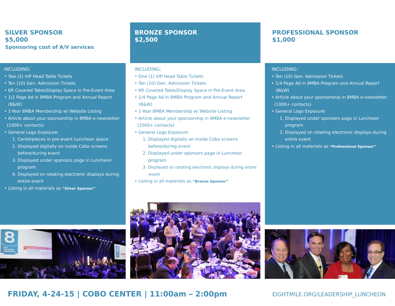### **SILVER SPONSOR \$5,000 Sponsoring cost of A/V services**

#### INCLUDING:

- Two (2) VIP Head Table Tickets
- Ten (10) Gen. Admission Tickets
- 6ft Covered Table/Display Space in Pre-Event Area
- 1/2 Page Ad in 8MBA Program and Annual Report (B&W)
- 1-Year 8MBA Membership w/ Website Listing
- Article about your sponsorship in 8MBA e-newsletter (1000+ contacts)
- General Logo Exposure:
	- 1. Centerpieces in pre-event Luncheon space
	- 2. Displayed digitally on inside Cobo screens before/during event
	- 3. Displayed under sponsors page in Luncheon program
	- 4. Displayed on rotating electronic displays during entire event
- Listing in all materials as **"Silver Sponsor"**

### **BRONZE SPONSOR \$2,500**

#### INCLUDING:

- One (1) VIP Head Table Tickets
- Ten (10) Gen. Admission Tickets
- 6ft Covered Table/Display Space in Pre-Event Area
- 1/4 Page Ad in 8MBA Program and Annual Report (B&W)
- 1-Year 8MBA Membership w/ Website Listing
- Article about your sponsorship in 8MBA e-newsletter  $(1000 + \text{ contacts})$
- General Logo Exposure:
	- 1. Displayed digitally on inside Cobo screens before/during event
	- 2. Displayed under sponsors page in Luncheon program
	- 3. Displayed on rotating electronic displays during entire event
- Listing in all materials as **"Bronze Sponsor"**

### **PROFESSIONAL SPONSOR \$1,000**

#### INCLUDING:

- Ten (10) Gen. Admission Tickets
- 1/4 Page Ad in 8MBA Program and Annual Report (B&W)
- Article about your sponsorship in 8MBA e-newsletter (1000+ contacts)
- General Logo Exposure:
	- 1. Displayed under sponsors page in Luncheon program
	- 2. Displayed on rotating electronic displays during entire event
- Listing in all materials as **"Professional Sponsor"**





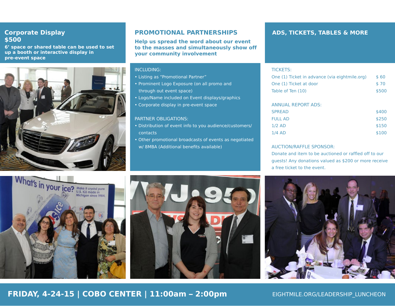#### **Corporate Display \$500**

**6' space or shared table can be used to set up a booth or interactive display in pre-event space**



### **PROMOTIONAL PARTNERSHIPS**

**Help us spread the word about our event to the masses and simultaneously show off your community involvement**

#### INCLUDING:

- Listing as "Promotional Partner"
- Prominent Logo Exposure (on all promo and through out event space)
- Logo/Name included on Event displays/graphics
- Corporate display in pre-event space

#### PARTNER OBLIGATIONS:

- Distribution of event info to you audience/customers/ contacts
- Other promotional broadcasts of events as negotiated w/ 8MBA (Additional benefits available)

#### **ADS, TICKETS, TABLES & MORE**

#### TICKETS:

| One (1) Ticket in advance (via eightmile.org) | \$ 60 |
|-----------------------------------------------|-------|
| One (1) Ticket at door                        | \$70  |
| Table of Ten (10)                             | \$500 |

#### ANNUAL REPORT ADS:

| <b>SPREAD</b>  | \$400 |
|----------------|-------|
| <b>FULL AD</b> | \$250 |
| $1/2$ AD       | \$150 |
| $1/4$ AD       | \$100 |

#### AUCTION/RAFFLE SPONSOR:

Donate and item to be auctioned or raffled off to our guests! Any donations valued as \$200 or more receive a free ticket to the event.